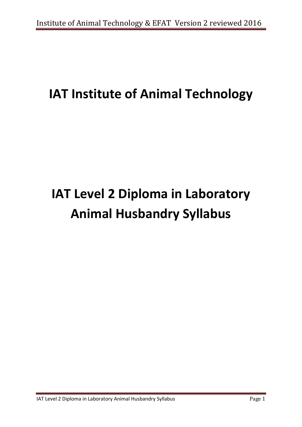# **IAT Institute of Animal Technology**

# **IAT Level 2 Diploma in Laboratory Animal Husbandry Syllabus**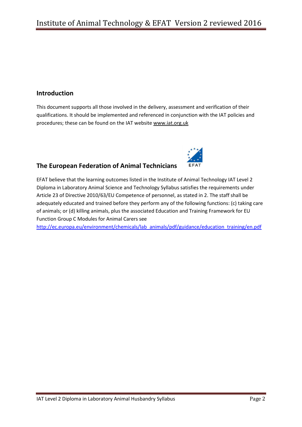# **Introduction**

This document supports all those involved in the delivery, assessment and verification of their qualifications. It should be implemented and referenced in conjunction with the IAT policies and procedures; these can be found on the IAT website [www.iat.org.uk](http://www.iat.org.uk/)



# **The European Federation of Animal Technicians**

EFAT believe that the learning outcomes listed in the Institute of Animal Technology IAT Level 2 Diploma in Laboratory Animal Science and Technology Syllabus satisfies the requirements under Article 23 of Directive 2010/63/EU Competence of personnel, as stated in 2. The staff shall be adequately educated and trained before they perform any of the following functions: (c) taking care of animals; or (d) killing animals, plus the associated Education and Training Framework for EU Function Group C Modules for Animal Carers see

[http://ec.europa.eu/environment/chemicals/lab\\_animals/pdf/guidance/education\\_training/en.pdf](http://ec.europa.eu/environment/chemicals/lab_animals/pdf/guidance/education_training/en.pdf)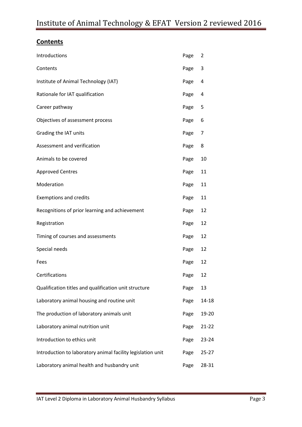# **Contents**

| Introductions                                               | Page | 2         |
|-------------------------------------------------------------|------|-----------|
| Contents                                                    | Page | 3         |
| Institute of Animal Technology (IAT)                        | Page | 4         |
| Rationale for IAT qualification                             | Page | 4         |
| Career pathway                                              | Page | 5         |
| Objectives of assessment process                            | Page | 6         |
| Grading the IAT units                                       | Page | 7         |
| Assessment and verification                                 | Page | 8         |
| Animals to be covered                                       | Page | 10        |
| <b>Approved Centres</b>                                     | Page | 11        |
| Moderation                                                  | Page | 11        |
| <b>Exemptions and credits</b>                               | Page | 11        |
| Recognitions of prior learning and achievement              | Page | 12        |
| Registration                                                | Page | 12        |
| Timing of courses and assessments                           | Page | 12        |
| Special needs                                               | Page | 12        |
| Fees                                                        | Page | 12        |
| Certifications                                              | Page | 12        |
| Qualification titles and qualification unit structure       | Page | 13        |
| Laboratory animal housing and routine unit                  | Page | 14-18     |
| The production of laboratory animals unit                   | Page | 19-20     |
| Laboratory animal nutrition unit                            | Page | $21 - 22$ |
| Introduction to ethics unit                                 | Page | $23 - 24$ |
| Introduction to laboratory animal facility legislation unit | Page | $25 - 27$ |
| Laboratory animal health and husbandry unit                 | Page | 28-31     |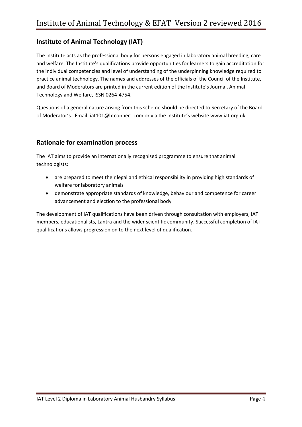# **Institute of Animal Technology (IAT)**

The Institute acts as the professional body for persons engaged in laboratory animal breeding, care and welfare. The Institute's qualifications provide opportunities for learners to gain accreditation for the individual competencies and level of understanding of the underpinning knowledge required to practice animal technology. The names and addresses of the officials of the Council of the Institute, and Board of Moderators are printed in the current edition of the Institute's Journal, Animal Technology and Welfare, ISSN 0264-4754.

Questions of a general nature arising from this scheme should be directed to Secretary of the Board of Moderator's. Email: [iat101@btconnect.com](mailto:iat101@btconnect.com) or via the Institute's website www.iat.org.uk

# **Rationale for examination process**

The IAT aims to provide an internationally recognised programme to ensure that animal technologists:

- are prepared to meet their legal and ethical responsibility in providing high standards of welfare for laboratory animals
- demonstrate appropriate standards of knowledge, behaviour and competence for career advancement and election to the professional body

The development of IAT qualifications have been driven through consultation with employers, IAT members, educationalists, Lantra and the wider scientific community. Successful completion of IAT qualifications allows progression on to the next level of qualification.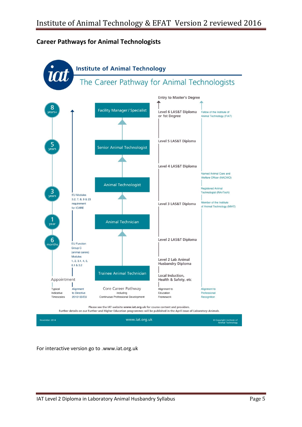# **Career Pathways for Animal Technologists**



www.iat.org.uk mber 2014 © Copyright Institute of<br>Animal Technology

For interactive version go to .www.iat.org.uk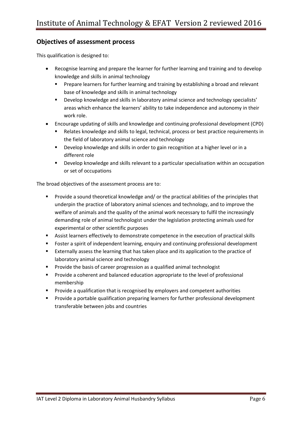# **Objectives of assessment process**

This qualification is designed to:

- Recognise learning and prepare the learner for further learning and training and to develop knowledge and skills in animal technology
	- **Prepare learners for further learning and training by establishing a broad and relevant** base of knowledge and skills in animal technology
	- **•** Develop knowledge and skills in laboratory animal science and technology specialists' areas which enhance the learners' ability to take independence and autonomy in their work role.
- Encourage updating of skills and knowledge and continuing professional development (CPD)
	- Relates knowledge and skills to legal, technical, process or best practice requirements in the field of laboratory animal science and technology
	- Develop knowledge and skills in order to gain recognition at a higher level or in a different role
	- Develop knowledge and skills relevant to a particular specialisation within an occupation or set of occupations

The broad objectives of the assessment process are to:

- **Provide a sound theoretical knowledge and/ or the practical abilities of the principles that** underpin the practice of laboratory animal sciences and technology, and to improve the welfare of animals and the quality of the animal work necessary to fulfil the increasingly demanding role of animal technologist under the legislation protecting animals used for experimental or other scientific purposes
- Assist learners effectively to demonstrate competence in the execution of practical skills
- **FILM** Foster a spirit of independent learning, enquiry and continuing professional development
- **Externally assess the learning that has taken place and its application to the practice of** laboratory animal science and technology
- **Provide the basis of career progression as a qualified animal technologist**
- **Provide a coherent and balanced education appropriate to the level of professional** membership
- Provide a qualification that is recognised by employers and competent authorities
- **Provide a portable qualification preparing learners for further professional development** transferable between jobs and countries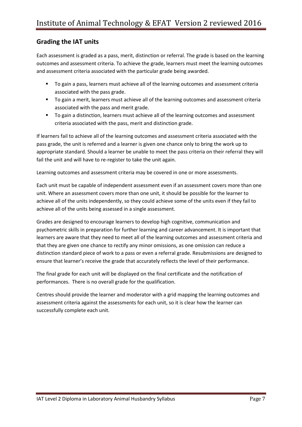# **Grading the IAT units**

Each assessment is graded as a pass, merit, distinction or referral. The grade is based on the learning outcomes and assessment criteria. To achieve the grade, learners must meet the learning outcomes and assessment criteria associated with the particular grade being awarded.

- To gain a pass, learners must achieve all of the learning outcomes and assessment criteria associated with the pass grade.
- To gain a merit, learners must achieve all of the learning outcomes and assessment criteria associated with the pass and merit grade.
- To gain a distinction, learners must achieve all of the learning outcomes and assessment criteria associated with the pass, merit and distinction grade.

If learners fail to achieve all of the learning outcomes and assessment criteria associated with the pass grade, the unit is referred and a learner is given one chance only to bring the work up to appropriate standard. Should a learner be unable to meet the pass criteria on their referral they will fail the unit and will have to re-register to take the unit again.

Learning outcomes and assessment criteria may be covered in one or more assessments.

Each unit must be capable of independent assessment even if an assessment covers more than one unit. Where an assessment covers more than one unit, it should be possible for the learner to achieve all of the units independently, so they could achieve some of the units even if they fail to achieve all of the units being assessed in a single assessment.

Grades are designed to encourage learners to develop high cognitive, communication and psychometric skills in preparation for further learning and career advancement. It is important that learners are aware that they need to meet all of the learning outcomes and assessment criteria and that they are given one chance to rectify any minor omissions, as one omission can reduce a distinction standard piece of work to a pass or even a referral grade. Resubmissions are designed to ensure that learner's receive the grade that accurately reflects the level of their performance.

The final grade for each unit will be displayed on the final certificate and the notification of performances. There is no overall grade for the qualification.

Centres should provide the learner and moderator with a grid mapping the learning outcomes and assessment criteria against the assessments for each unit, so it is clear how the learner can successfully complete each unit.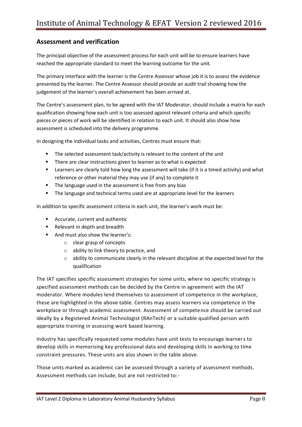# **Assessment and verification**

The principal objective of the assessment process for each unit will be to ensure learners have reached the appropriate standard to meet the learning outcome for the unit.

The primary interface with the learner is the Centre Assessor whose job it is to assess the evidence presented by the learner. The Centre Assessor should provide an audit trail showing how the judgement of the learner's overall achievement has been arrived at.

The Centre's assessment plan, to be agreed with the IAT Moderator, should include a matrix for each qualification showing how each unit is too assessed against relevant criteria and which specific pieces or pieces of work will be identified in relation to each unit. It should also show how assessment is scheduled into the delivery programme.

In designing the individual tasks and activities, Centres must ensure that:

- **The selected assessment task/activity is relevant to the content of the unit**
- **There are clear instructions given to learner as to what is expected**
- Learners are clearly told how long the assessment will take (if it is a timed activity) and what reference or other material they may use (if any) to complete it
- **The language used in the assessment is free from any bias**
- The language and technical terms used are at appropriate level for the learners

In addition to specific assessment criteria in each unit, the learner's work must be:

- Accurate, current and authentic
- Relevant in depth and breadth
- And must also show the learner's:
	- o clear grasp of concepts
	- o ability to link theory to practice, and
	- o ability to communicate clearly in the relevant discipline at the expected level for the qualification

The IAT specifies specific assessment strategies for some units, where no specific strategy is specified assessment methods can be decided by the Centre in agreement with the IAT moderator. Where modules lend themselves to assessment of competence in the workplace, these are highlighted in the above table. Centres may assess learners via competence in the workplace or through academic assessment. Assessment of competence should be carried out ideally by a Registered Animal Technologist (RAnTech) or a suitable qualified person with appropriate training in assessing work based learning.

Industry has specifically requested some modules have unit tests to encourage learners to develop skills in memorising key professional data and developing skills in working to time constraint pressures. These units are also shown in the table above.

Those units marked as academic can be assessed through a variety of assessment methods. Assessment methods can include, but are not restricted to:-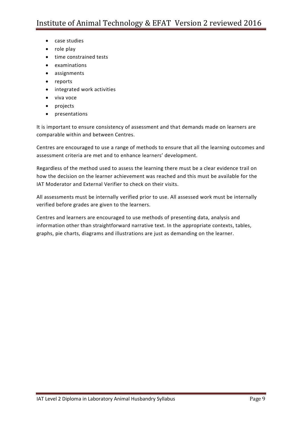- case studies
- role play
- time constrained tests
- examinations
- assignments
- reports
- integrated work activities
- viva voce
- projects
- presentations

It is important to ensure consistency of assessment and that demands made on learners are comparable within and between Centres.

Centres are encouraged to use a range of methods to ensure that all the learning outcomes and assessment criteria are met and to enhance learners' development.

Regardless of the method used to assess the learning there must be a clear evidence trail on how the decision on the learner achievement was reached and this must be available for the IAT Moderator and External Verifier to check on their visits.

All assessments must be internally verified prior to use. All assessed work must be internally verified before grades are given to the learners.

Centres and learners are encouraged to use methods of presenting data, analysis and information other than straightforward narrative text. In the appropriate contexts, tables, graphs, pie charts, diagrams and illustrations are just as demanding on the learner.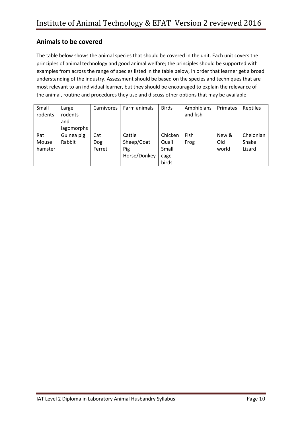# **Animals to be covered**

The table below shows the animal species that should be covered in the unit. Each unit covers the principles of animal technology and good animal welfare; the principles should be supported with examples from across the range of species listed in the table below, in order that learner get a broad understanding of the industry. Assessment should be based on the species and techniques that are most relevant to an individual learner, but they should be encouraged to explain the relevance of the animal, routine and procedures they use and discuss other options that may be available.

| Small   | Large      | Carnivores | Farm animals | <b>Birds</b> | Amphibians | Primates | Reptiles  |
|---------|------------|------------|--------------|--------------|------------|----------|-----------|
| rodents | rodents    |            |              |              | and fish   |          |           |
|         | and        |            |              |              |            |          |           |
|         | lagomorphs |            |              |              |            |          |           |
| Rat     | Guinea pig | Cat        | Cattle       | Chicken      | Fish       | New &    | Chelonian |
| Mouse   | Rabbit     | Dog        | Sheep/Goat   | Quail        | Frog       | Old      | Snake     |
| hamster |            | Ferret     | Pig          | Small        |            | world    | Lizard    |
|         |            |            | Horse/Donkey | cage         |            |          |           |
|         |            |            |              | birds        |            |          |           |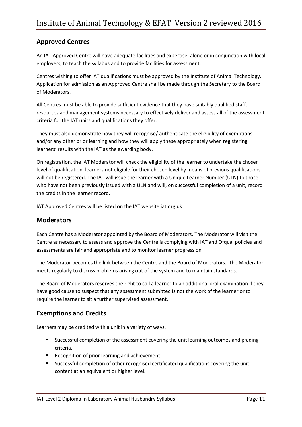# **Approved Centres**

An IAT Approved Centre will have adequate facilities and expertise, alone or in conjunction with local employers, to teach the syllabus and to provide facilities for assessment.

Centres wishing to offer IAT qualifications must be approved by the Institute of Animal Technology. Application for admission as an Approved Centre shall be made through the Secretary to the Board of Moderators.

All Centres must be able to provide sufficient evidence that they have suitably qualified staff, resources and management systems necessary to effectively deliver and assess all of the assessment criteria for the IAT units and qualifications they offer.

They must also demonstrate how they will recognise/ authenticate the eligibility of exemptions and/or any other prior learning and how they will apply these appropriately when registering learners' results with the IAT as the awarding body.

On registration, the IAT Moderator will check the eligibility of the learner to undertake the chosen level of qualification, learners not eligible for their chosen level by means of previous qualifications will not be registered. The IAT will issue the learner with a Unique Learner Number (ULN) to those who have not been previously issued with a ULN and will, on successful completion of a unit, record the credits in the learner record.

IAT Approved Centres will be listed on the IAT website iat.org.uk

# **Moderators**

Each Centre has a Moderator appointed by the Board of Moderators. The Moderator will visit the Centre as necessary to assess and approve the Centre is complying with IAT and Ofqual policies and assessments are fair and appropriate and to monitor learner progression

The Moderator becomes the link between the Centre and the Board of Moderators. The Moderator meets regularly to discuss problems arising out of the system and to maintain standards.

The Board of Moderators reserves the right to call a learner to an additional oral examination if they have good cause to suspect that any assessment submitted is not the work of the learner or to require the learner to sit a further supervised assessment.

# **Exemptions and Credits**

Learners may be credited with a unit in a variety of ways.

- **Successful completion of the assessment covering the unit learning outcomes and grading** criteria.
- **Recognition of prior learning and achievement.**
- Successful completion of other recognised certificated qualifications covering the unit content at an equivalent or higher level.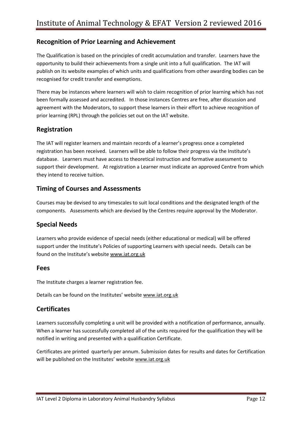# **Recognition of Prior Learning and Achievement**

The Qualification is based on the principles of credit accumulation and transfer. Learners have the opportunity to build their achievements from a single unit into a full qualification. The IAT will publish on its website examples of which units and qualifications from other awarding bodies can be recognised for credit transfer and exemptions.

There may be instances where learners will wish to claim recognition of prior learning which has not been formally assessed and accredited. In those instances Centres are free, after discussion and agreement with the Moderators, to support these learners in their effort to achieve recognition of prior learning (RPL) through the policies set out on the IAT website.

# **Registration**

The IAT will register learners and maintain records of a learner's progress once a completed registration has been received. Learners will be able to follow their progress via the Institute's database. Learners must have access to theoretical instruction and formative assessment to support their development. At registration a Learner must indicate an approved Centre from which they intend to receive tuition.

# **Timing of Courses and Assessments**

Courses may be devised to any timescales to suit local conditions and the designated length of the components. Assessments which are devised by the Centres require approval by the Moderator.

# **Special Needs**

Learners who provide evidence of special needs (either educational or medical) will be offered support under the Institute's Policies of supporting Learners with special needs. Details can be found on the Institute's website [www.iat.org.uk](http://www.iat.org.uk/)

### **Fees**

The Institute charges a learner registration fee.

Details can be found on the Institutes' website [www.iat.org.uk](http://www.iat.org.uk/)

# **Certificates**

Learners successfully completing a unit will be provided with a notification of performance, annually. When a learner has successfully completed all of the units required for the qualification they will be notified in writing and presented with a qualification Certificate.

Certificates are printed quarterly per annum. Submission dates for results and dates for Certification will be published on the Institutes' website [www.iat.org.uk](http://www.iat.org.uk/)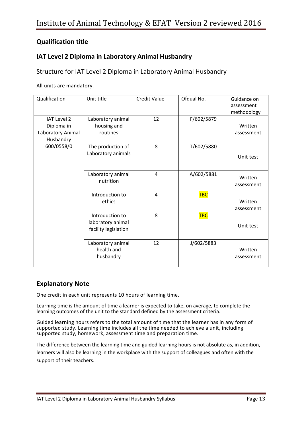# **Qualification title**

# **IAT Level 2 Diploma in Laboratory Animal Husbandry**

# Structure for IAT Level 2 Diploma in Laboratory Animal Husbandry

All units are mandatory.

| Qualification                                                      | Unit title                                                   | <b>Credit Value</b> | Ofqual No. | Guidance on<br>assessment<br>methodology |
|--------------------------------------------------------------------|--------------------------------------------------------------|---------------------|------------|------------------------------------------|
| <b>IAT Level 2</b><br>Diploma in<br>Laboratory Animal<br>Husbandry | Laboratory animal<br>housing and<br>routines                 | 12                  | F/602/5879 | Written<br>assessment                    |
| 600/0558/0                                                         | The production of<br>Laboratory animals                      | 8                   | T/602/5880 | Unit test                                |
|                                                                    | Laboratory animal<br>nutrition                               | 4                   | A/602/5881 | Written<br>assessment                    |
|                                                                    | Introduction to<br>ethics                                    | 4                   | <b>TBC</b> | Written<br>assessment                    |
|                                                                    | Introduction to<br>laboratory animal<br>facility legislation | 8                   | <b>TBC</b> | Unit test                                |
|                                                                    | Laboratory animal<br>health and<br>husbandry                 | 12                  | J/602/5883 | Written<br>assessment                    |

# **Explanatory Note**

One credit in each unit represents 10 hours of learning time.

Learning time is the amount of time a learner is expected to take, on average, to complete the learning outcomes of the unit to the standard defined by the assessment criteria.

Guided learning hours refers to the total amount of time that the learner has in any form of supported study. Learning time includes all the time needed to achieve a unit, including supported study, homework, assessment time and preparation time.

The difference between the learning time and guided learning hours is not absolute as, in addition, learners will also be learning in the workplace with the support of colleagues and often with the support of their teachers.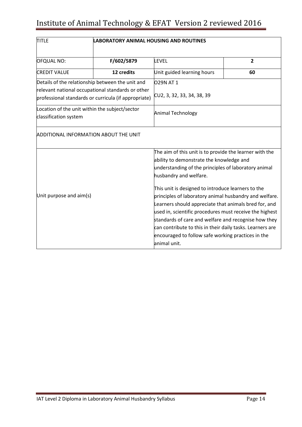| <b>TITLE</b>                                                            | <b>LABORATORY ANIMAL HOUSING AND ROUTINES</b>                                                             |                                                           |              |  |
|-------------------------------------------------------------------------|-----------------------------------------------------------------------------------------------------------|-----------------------------------------------------------|--------------|--|
| <b>OFQUAL NO:</b>                                                       | F/602/5879                                                                                                | <b>LEVEL</b>                                              | $\mathbf{2}$ |  |
| <b>CREDIT VALUE</b>                                                     | 12 credits                                                                                                | Unit guided learning hours                                | 60           |  |
| Details of the relationship between the unit and                        |                                                                                                           | O29N AT 1                                                 |              |  |
|                                                                         | relevant national occupational standards or other<br>professional standards or curricula (if appropriate) | CU2, 3, 32, 33, 34, 38, 39                                |              |  |
| Location of the unit within the subject/sector<br>classification system |                                                                                                           | <b>Animal Technology</b>                                  |              |  |
| <b>ADDITIONAL INFORMATION ABOUT THE UNIT</b>                            |                                                                                                           |                                                           |              |  |
|                                                                         |                                                                                                           | The aim of this unit is to provide the learner with the   |              |  |
|                                                                         |                                                                                                           | ability to demonstrate the knowledge and                  |              |  |
|                                                                         |                                                                                                           | understanding of the principles of laboratory animal      |              |  |
|                                                                         |                                                                                                           | husbandry and welfare.                                    |              |  |
|                                                                         |                                                                                                           | This unit is designed to introduce learners to the        |              |  |
| Unit purpose and aim(s)                                                 |                                                                                                           | principles of laboratory animal husbandry and welfare.    |              |  |
|                                                                         |                                                                                                           | Learners should appreciate that animals bred for, and     |              |  |
|                                                                         |                                                                                                           | used in, scientific procedures must receive the highest   |              |  |
|                                                                         |                                                                                                           | standards of care and welfare and recognise how they      |              |  |
|                                                                         |                                                                                                           | can contribute to this in their daily tasks. Learners are |              |  |
|                                                                         |                                                                                                           | encouraged to follow safe working practices in the        |              |  |
|                                                                         |                                                                                                           | animal unit.                                              |              |  |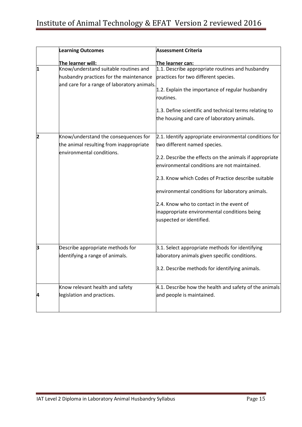|                         | <b>Learning Outcomes</b>                                             | <b>Assessment Criteria</b>                                    |
|-------------------------|----------------------------------------------------------------------|---------------------------------------------------------------|
|                         | The learner will:                                                    | The learner can:                                              |
| 1                       | Know/understand suitable routines and                                | 1.1. Describe appropriate routines and husbandry              |
|                         | husbandry practices for the maintenance                              | practices for two different species.                          |
|                         | and care for a range of laboratory animals.                          | 1.2. Explain the importance of regular husbandry<br>routines. |
|                         |                                                                      | 1.3. Define scientific and technical terms relating to        |
|                         |                                                                      | the housing and care of laboratory animals.                   |
|                         |                                                                      |                                                               |
| $\overline{\mathbf{2}}$ | Know/understand the consequences for                                 | 2.1. Identify appropriate environmental conditions for        |
|                         | the animal resulting from inappropriate<br>environmental conditions. | two different named species.                                  |
|                         |                                                                      | 2.2. Describe the effects on the animals if appropriate       |
|                         |                                                                      | environmental conditions are not maintained.                  |
|                         |                                                                      | 2.3. Know which Codes of Practice describe suitable           |
|                         |                                                                      | environmental conditions for laboratory animals.              |
|                         |                                                                      | 2.4. Know who to contact in the event of                      |
|                         |                                                                      | inappropriate environmental conditions being                  |
|                         |                                                                      | suspected or identified.                                      |
|                         |                                                                      |                                                               |
| З                       | Describe appropriate methods for                                     | 3.1. Select appropriate methods for identifying               |
|                         | identifying a range of animals.                                      | laboratory animals given specific conditions.                 |
|                         |                                                                      | 3.2. Describe methods for identifying animals.                |
|                         | Know relevant health and safety                                      | 4.1. Describe how the health and safety of the animals        |
| 4                       | legislation and practices.                                           | and people is maintained.                                     |
|                         |                                                                      |                                                               |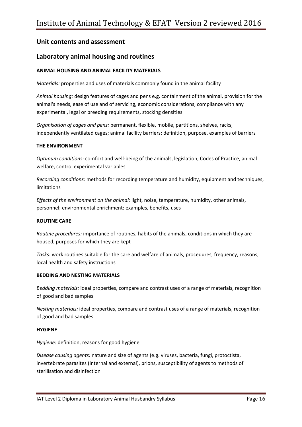# **Laboratory animal housing and routines**

#### **ANIMAL HOUSING AND ANIMAL FACILITY MATERIALS**

*Materials:* properties and uses of materials commonly found in the animal facility

*Animal housing:* design features of cages and pens e.g. containment of the animal, provision for the animal's needs, ease of use and of servicing, economic considerations, compliance with any experimental, legal or breeding requirements, stocking densities

*Organisation of cages and pens:* permanent, flexible, mobile, partitions, shelves, racks, independently ventilated cages; animal facility barriers: definition, purpose, examples of barriers

#### **THE ENVIRONMENT**

*Optimum conditions:* comfort and well-being of the animals, legislation, Codes of Practice, animal welfare, control experimental variables

*Recording conditions:* methods for recording temperature and humidity, equipment and techniques, limitations

*Effects of the environment on the animal:* light, noise, temperature, humidity, other animals, personnel; environmental enrichment: examples, benefits, uses

#### **ROUTINE CARE**

*Routine procedures:* importance of routines, habits of the animals, conditions in which they are housed, purposes for which they are kept

*Tasks:* work routines suitable for the care and welfare of animals, procedures, frequency, reasons, local health and safety instructions

#### **BEDDING AND NESTING MATERIALS**

*Bedding materials:* ideal properties, compare and contrast uses of a range of materials, recognition of good and bad samples

*Nesting materials:* ideal properties, compare and contrast uses of a range of materials, recognition of good and bad samples

#### **HYGIENE**

*Hygiene:* definition, reasons for good hygiene

*Disease causing agents:* nature and size of agents (e.g. viruses, bacteria, fungi, protoctista, invertebrate parasites (internal and external), prions, susceptibility of agents to methods of sterilisation and disinfection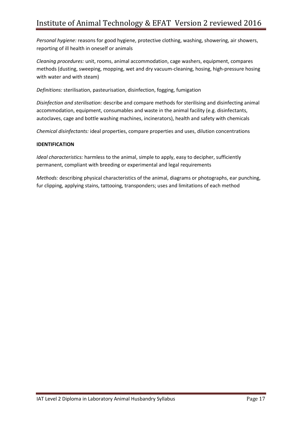*Personal hygiene:* reasons for good hygiene, protective clothing, washing, showering, air showers, reporting of ill health in oneself or animals

*Cleaning procedures:* unit, rooms, animal accommodation, cage washers, equipment, compares methods (dusting, sweeping, mopping, wet and dry vacuum-cleaning, hosing, high-pressure hosing with water and with steam)

*Definitions:* sterilisation, pasteurisation, disinfection, fogging, fumigation

*Disinfection and sterilisation:* describe and compare methods for sterilising and disinfecting animal accommodation, equipment, consumables and waste in the animal facility (e.g. disinfectants, autoclaves, cage and bottle washing machines, incinerators), health and safety with chemicals

*Chemical disinfectants:* ideal properties, compare properties and uses, dilution concentrations

#### **IDENTIFICATION**

*Ideal characteristics:* harmless to the animal, simple to apply, easy to decipher, sufficiently permanent, compliant with breeding or experimental and legal requirements

*Methods:* describing physical characteristics of the animal, diagrams or photographs, ear punching, fur clipping, applying stains, tattooing, transponders; uses and limitations of each method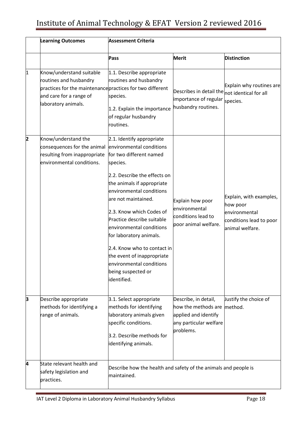|   | <b>Learning Outcomes</b>                                                                                                                                          | <b>Assessment Criteria</b>                                                                                                                                                                                                                                                                                                                                                                                                                                   |                                                                                                                        |                                                                                                    |
|---|-------------------------------------------------------------------------------------------------------------------------------------------------------------------|--------------------------------------------------------------------------------------------------------------------------------------------------------------------------------------------------------------------------------------------------------------------------------------------------------------------------------------------------------------------------------------------------------------------------------------------------------------|------------------------------------------------------------------------------------------------------------------------|----------------------------------------------------------------------------------------------------|
|   |                                                                                                                                                                   | Pass                                                                                                                                                                                                                                                                                                                                                                                                                                                         | <b>Merit</b>                                                                                                           | <b>Distinction</b>                                                                                 |
| 1 | Know/understand suitable<br>routines and husbandry<br>practices for the maintenance practices for two different<br>and care for a range of<br>laboratory animals. | 1.1. Describe appropriate<br>routines and husbandry<br>species.<br>1.2. Explain the importance<br>of regular husbandry<br>routines.                                                                                                                                                                                                                                                                                                                          | $\vert$ Describes in detail the $\vert_{\text{not}}$ identical for all<br>importance of regular<br>husbandry routines. | Explain why routines are<br>species.                                                               |
| 2 | Know/understand the<br>consequences for the animal<br>resulting from inappropriate<br>environmental conditions.                                                   | 2.1. Identify appropriate<br>environmental conditions<br>for two different named<br>species.<br>2.2. Describe the effects on<br>the animals if appropriate<br>environmental conditions<br>are not maintained.<br>2.3. Know which Codes of<br>Practice describe suitable<br>environmental conditions<br>for laboratory animals.<br>2.4. Know who to contact in<br>the event of inappropriate<br>environmental conditions<br>being suspected or<br>identified. | Explain how poor<br>environmental<br>conditions lead to<br>poor animal welfare.                                        | Explain, with examples,<br>how poor<br>environmental<br>conditions lead to poor<br>animal welfare. |
| 3 | Describe appropriate<br>methods for identifying a<br>range of animals.                                                                                            | 3.1. Select appropriate<br>methods for identifying<br>laboratory animals given<br>specific conditions.<br>3.2. Describe methods for<br>identifying animals.                                                                                                                                                                                                                                                                                                  | Describe, in detail,<br>how the methods are<br>applied and identify<br>any particular welfare<br>problems.             | Justify the choice of<br>method.                                                                   |
| 4 | State relevant health and<br>safety legislation and<br>practices.                                                                                                 | Describe how the health and safety of the animals and people is<br>maintained.                                                                                                                                                                                                                                                                                                                                                                               |                                                                                                                        |                                                                                                    |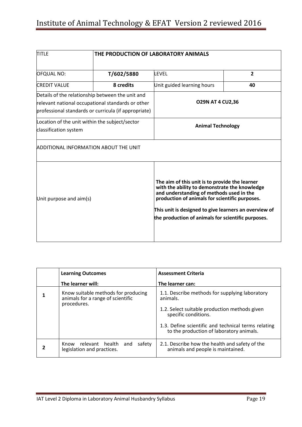| <b>TITLE</b>                                                                                                                                                  | THE PRODUCTION OF LABORATORY ANIMALS |                                                                                                                                                                                                                                                                                                              |                |  |
|---------------------------------------------------------------------------------------------------------------------------------------------------------------|--------------------------------------|--------------------------------------------------------------------------------------------------------------------------------------------------------------------------------------------------------------------------------------------------------------------------------------------------------------|----------------|--|
| <b>OFQUAL NO:</b>                                                                                                                                             | T/602/5880                           | <b>LEVEL</b>                                                                                                                                                                                                                                                                                                 | $\overline{2}$ |  |
| <b>CREDIT VALUE</b>                                                                                                                                           | 8 credits                            | Unit guided learning hours                                                                                                                                                                                                                                                                                   | 40             |  |
| Details of the relationship between the unit and<br>relevant national occupational standards or other<br>professional standards or curricula (if appropriate) |                                      | <b>O29N AT 4 CU2,36</b>                                                                                                                                                                                                                                                                                      |                |  |
| Location of the unit within the subject/sector<br>classification system                                                                                       |                                      | <b>Animal Technology</b>                                                                                                                                                                                                                                                                                     |                |  |
| ADDITIONAL INFORMATION ABOUT THE UNIT                                                                                                                         |                                      |                                                                                                                                                                                                                                                                                                              |                |  |
| Unit purpose and aim(s)                                                                                                                                       |                                      | The aim of this unit is to provide the learner<br>with the ability to demonstrate the knowledge<br>and understanding of methods used in the<br>production of animals for scientific purposes.<br>This unit is designed to give learners an overview of<br>the production of animals for scientific purposes. |                |  |

| <b>Learning Outcomes</b>                                                                | <b>Assessment Criteria</b>                                                                                  |
|-----------------------------------------------------------------------------------------|-------------------------------------------------------------------------------------------------------------|
| The learner will:                                                                       | The learner can:                                                                                            |
| Know suitable methods for producing<br>animals for a range of scientific<br>procedures. | 1.1. Describe methods for supplying laboratory<br>animals.<br>1.2. Select suitable production methods given |
|                                                                                         | specific conditions.                                                                                        |
|                                                                                         | 1.3. Define scientific and technical terms relating<br>to the production of laboratory animals.             |
| relevant health<br>safety<br>and<br>Know<br>legislation and practices.                  | 2.1. Describe how the health and safety of the<br>animals and people is maintained.                         |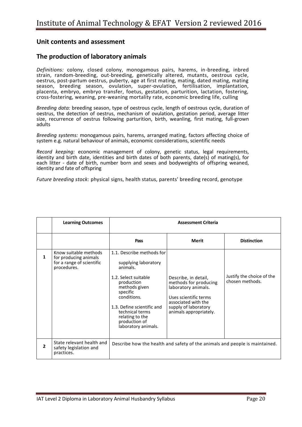### **The production of laboratory animals**

*Definitions:* colony, closed colony, monogamous pairs, harems, in-breeding, inbred strain, random-breeding, out-breeding, genetically altered, mutants, oestrous cycle, oestrus, post-partum oestrus, puberty, age at first mating, mating, dated mating, mating season, breeding season, ovulation, super-ovulation, fertilisation, implantation, placenta, embryo, embryo transfer, foetus, gestation, parturition, lactation, fostering, cross-fostering, weaning, pre-weaning mortality rate, economic breeding life, culling

*Breeding data:* breeding season, type of oestrous cycle, length of oestrous cycle, duration of oestrus, the detection of oestrus, mechanism of ovulation, gestation period, average litter size, recurrence of oestrus following parturition, birth, weanling, first mating, full-grown adults

*Breeding systems:* monogamous pairs, harems, arranged mating, factors affecting choice of system e.g. natural behaviour of animals, economic considerations, scientific needs

*Record keeping:* economic management of colony, genetic status, legal requirements, identity and birth date, identities and birth dates of both parents, date(s) of mating(s), for each litter - date of birth, number born and sexes and bodyweights of offspring weaned, identity and fate of offspring

*Future breeding stock:* physical signs, health status, parents' breeding record, genotype

|   | <b>Learning Outcomes</b>                                                                   | <b>Assessment Criteria</b>                                                                                                                                                                                                                                  |                                                                                                                                                                        |                                              |
|---|--------------------------------------------------------------------------------------------|-------------------------------------------------------------------------------------------------------------------------------------------------------------------------------------------------------------------------------------------------------------|------------------------------------------------------------------------------------------------------------------------------------------------------------------------|----------------------------------------------|
|   |                                                                                            | Pass                                                                                                                                                                                                                                                        | Merit                                                                                                                                                                  | <b>Distinction</b>                           |
| 1 | Know suitable methods<br>for producing animals<br>for a range of scientific<br>procedures. | 1.1. Describe methods for<br>supplying laboratory<br>animals.<br>1.2. Select suitable<br>production<br>methods given<br>specific<br>conditions.<br>1.3. Define scientific and<br>technical terms<br>relating to the<br>production of<br>laboratory animals. | Describe, in detail,<br>methods for producing<br>laboratory animals.<br>Uses scientific terms<br>associated with the<br>supply of laboratory<br>animals appropriately. | Justify the choice of the<br>chosen methods. |
| 2 | State relevant health and<br>safety legislation and<br>practices.                          |                                                                                                                                                                                                                                                             | Describe how the health and safety of the animals and people is maintained.                                                                                            |                                              |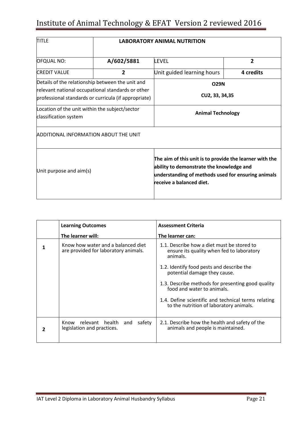| <b>TITLE</b>                                                                                                                                                  | <b>LABORATORY ANIMAL NUTRITION</b> |                                                                                                                                                                                       |           |  |
|---------------------------------------------------------------------------------------------------------------------------------------------------------------|------------------------------------|---------------------------------------------------------------------------------------------------------------------------------------------------------------------------------------|-----------|--|
| <b>OFQUAL NO:</b>                                                                                                                                             | A/602/5881                         | LEVEL                                                                                                                                                                                 | 2         |  |
| <b>CREDIT VALUE</b>                                                                                                                                           | $\overline{2}$                     | Unit guided learning hours                                                                                                                                                            | 4 credits |  |
| Details of the relationship between the unit and<br>relevant national occupational standards or other<br>professional standards or curricula (if appropriate) |                                    | <b>O29N</b><br>CU2, 33, 34, 35                                                                                                                                                        |           |  |
| Location of the unit within the subject/sector<br>classification system                                                                                       |                                    | <b>Animal Technology</b>                                                                                                                                                              |           |  |
| <b>ADDITIONAL INFORMATION ABOUT THE UNIT</b>                                                                                                                  |                                    |                                                                                                                                                                                       |           |  |
| Unit purpose and aim(s)                                                                                                                                       |                                    | The aim of this unit is to provide the learner with the<br>ability to demonstrate the knowledge and<br>understanding of methods used for ensuring animals<br>receive a balanced diet. |           |  |

|   | <b>Learning Outcomes</b>                                                   | <b>Assessment Criteria</b>                                                                          |
|---|----------------------------------------------------------------------------|-----------------------------------------------------------------------------------------------------|
|   | The learner will:                                                          | The learner can:                                                                                    |
|   | Know how water and a balanced diet<br>are provided for laboratory animals. | 1.1. Describe how a diet must be stored to<br>ensure its quality when fed to laboratory<br>animals. |
|   |                                                                            | 1.2. Identify food pests and describe the<br>potential damage they cause.                           |
|   |                                                                            | 1.3. Describe methods for presenting good quality<br>food and water to animals.                     |
|   |                                                                            | 1.4. Define scientific and technical terms relating<br>to the nutrition of laboratory animals.      |
| 2 | Know relevant health<br>safety<br>and<br>legislation and practices.        | 2.1. Describe how the health and safety of the<br>animals and people is maintained.                 |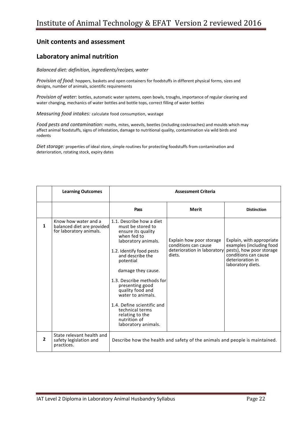# **Laboratory animal nutrition**

*Balanced diet: definition, ingredients/recipes, water*

*Provision of food:* hoppers, baskets and open containers for foodstuffs in different physical forms, sizes and designs, number of animals, scientific requirements

*Provision of water:* bottles, automatic water systems, open bowls, troughs, importance of regular cleaning and water changing, mechanics of water bottles and bottle tops, correct filling of water bottles

*Measuring food intakes:* calculate food consumption, wastage

*Food pests and contamination:* moths, mites, weevils, beetles (including cockroaches) and moulds which may affect animal foodstuffs, signs of infestation, damage to nutritional quality, contamination via wild birds and rodents

*Diet storage:* properties of ideal store, simple routines for protecting foodstuffs from contamination and deterioration, rotating stock, expiry dates

|                | <b>Learning Outcomes</b>                                                      | <b>Assessment Criteria</b>                                                                                                                                                                                                                                                                                                                                                                       |                                                                                           |                                                                                                                                                    |  |
|----------------|-------------------------------------------------------------------------------|--------------------------------------------------------------------------------------------------------------------------------------------------------------------------------------------------------------------------------------------------------------------------------------------------------------------------------------------------------------------------------------------------|-------------------------------------------------------------------------------------------|----------------------------------------------------------------------------------------------------------------------------------------------------|--|
|                |                                                                               | Pass                                                                                                                                                                                                                                                                                                                                                                                             | <b>Merit</b>                                                                              | <b>Distinction</b>                                                                                                                                 |  |
| 1              | Know how water and a<br>balanced diet are provided<br>for laboratory animals. | 1.1. Describe how a diet<br>must be stored to<br>ensure its quality<br>when fed to<br>laboratory animals.<br>1.2. Identify food pests<br>and describe the<br>potential<br>damage they cause.<br>1.3. Describe methods for<br>presenting good<br>quality food and<br>water to animals.<br>1.4. Define scientific and<br>technical terms<br>relating to the<br>nutrition of<br>laboratory animals. | Explain how poor storage<br>conditions can cause<br>deterioration in laboratory<br>diets. | Explain, with appropriate<br>examples (including food<br>pests), how poor storage<br>conditions can cause<br>deterioration in<br>laboratory diets. |  |
| $\overline{2}$ | State relevant health and<br>safety legislation and<br>practices.             |                                                                                                                                                                                                                                                                                                                                                                                                  | Describe how the health and safety of the animals and people is maintained.               |                                                                                                                                                    |  |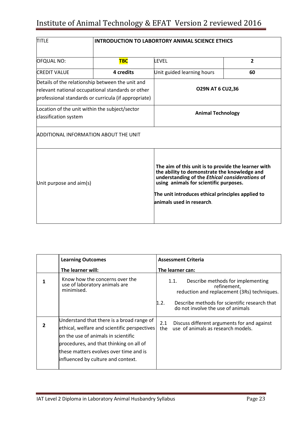| <b>TITLE</b>                                                                                                                                                  | <b>INTRODUCTION TO LABORTORY ANIMAL SCIENCE ETHICS</b> |                                                                                                                                                                                                                                                                                   |                |  |
|---------------------------------------------------------------------------------------------------------------------------------------------------------------|--------------------------------------------------------|-----------------------------------------------------------------------------------------------------------------------------------------------------------------------------------------------------------------------------------------------------------------------------------|----------------|--|
| <b>OFQUAL NO:</b>                                                                                                                                             | <b>TBC</b>                                             | LFVFL                                                                                                                                                                                                                                                                             | $\overline{2}$ |  |
| <b>CREDIT VALUE</b>                                                                                                                                           | 4 credits                                              | Unit guided learning hours                                                                                                                                                                                                                                                        | 60             |  |
| Details of the relationship between the unit and<br>relevant national occupational standards or other<br>professional standards or curricula (if appropriate) |                                                        | <b>O29N AT 6 CU2,36</b>                                                                                                                                                                                                                                                           |                |  |
| Location of the unit within the subject/sector<br>classification system                                                                                       |                                                        | <b>Animal Technology</b>                                                                                                                                                                                                                                                          |                |  |
| <b>ADDITIONAL INFORMATION ABOUT THE UNIT</b>                                                                                                                  |                                                        |                                                                                                                                                                                                                                                                                   |                |  |
| Unit purpose and aim(s)                                                                                                                                       |                                                        | The aim of this unit is to provide the learner with<br>the ability to demonstrate the knowledge and<br>understanding of the Ethical considerations of<br>using animals for scientific purposes.<br>The unit introduces ethical principles applied to<br>animals used in research. |                |  |

|   | <b>Learning Outcomes</b>                                                                                                                                                                                                                                            | <b>Assessment Criteria</b>                                                                              |  |  |
|---|---------------------------------------------------------------------------------------------------------------------------------------------------------------------------------------------------------------------------------------------------------------------|---------------------------------------------------------------------------------------------------------|--|--|
|   | The learner will:                                                                                                                                                                                                                                                   | The learner can:                                                                                        |  |  |
| 1 | Know how the concerns over the<br>use of laboratory animals are<br>minimised.                                                                                                                                                                                       | Describe methods for implementing<br>1.1.<br>refinement,<br>reduction and replacement (3Rs) techniques. |  |  |
|   |                                                                                                                                                                                                                                                                     | Describe methods for scientific research that<br>1.2.<br>do not involve the use of animals              |  |  |
| 2 | Understand that there is a broad range of<br>ethical, welfare and scientific perspectives<br><b>lon the use of animals in scientific</b><br>procedures, and that thinking on all of<br>these matters evolves over time and is<br>influenced by culture and context. | Discuss different arguments for and against<br>2.1<br>use of animals as research models.<br>the         |  |  |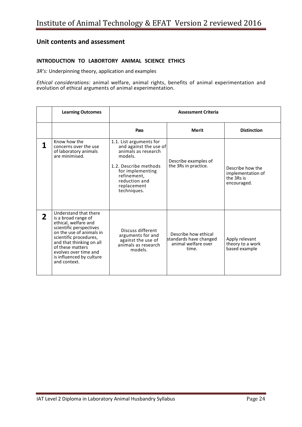#### **INTRODUCTION TO LABORTORY ANIMAL SCIENCE ETHICS**

*3R's:* Underpinning theory, application and examples

*Ethical considerations:* animal welfare, animal rights, benefits of animal experimentation and evolution of ethical arguments of animal experimentation.

|              | <b>Learning Outcomes</b>                                                                                                                                                                                                                                                   | <b>Assessment Criteria</b>                                                                                                                                                                     |                                                                                |                                                                    |
|--------------|----------------------------------------------------------------------------------------------------------------------------------------------------------------------------------------------------------------------------------------------------------------------------|------------------------------------------------------------------------------------------------------------------------------------------------------------------------------------------------|--------------------------------------------------------------------------------|--------------------------------------------------------------------|
|              |                                                                                                                                                                                                                                                                            | Pass                                                                                                                                                                                           | Merit                                                                          | <b>Distinction</b>                                                 |
| 1            | Know how the<br>concerns over the use<br>of laboratory animals<br>are minimised.                                                                                                                                                                                           | 1.1. List arguments for<br>and against the use of<br>animals as research<br>models.<br>1.2. Describe methods<br>for implementing<br>refinement,<br>reduction and<br>replacement<br>techniques. | Describe examples of<br>the 3Rs in practice.                                   | Describe how the<br>implementation of<br>the 3Rs is<br>encouraged. |
| $\mathbf{2}$ | Understand that there<br>is a broad range of<br>ethical, welfare and<br>scientific perspectives<br>on the use of animals in<br>scientific procedures,<br>and that thinking on all<br>of these matters<br>evolves over time and<br>is influenced by culture<br>and context. | Discuss different<br>arguments for and<br>against the use of<br>animals as research<br>models.                                                                                                 | Describe how ethical<br>standards have changed<br>animal welfare over<br>time. | Apply relevant<br>theory to a work<br>based example                |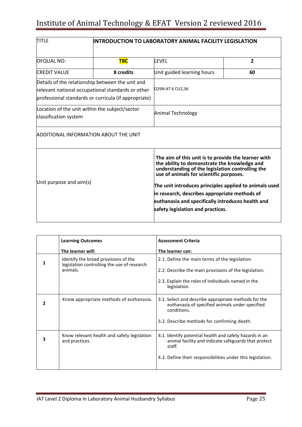| <b>TITLE</b>                                                                                                                                                  | INTRODUCTION TO LABORATORY ANIMAL FACILITY LEGISLATION |                                                                                                                                                                                                                                                                                                                                                                                                         |                |  |
|---------------------------------------------------------------------------------------------------------------------------------------------------------------|--------------------------------------------------------|---------------------------------------------------------------------------------------------------------------------------------------------------------------------------------------------------------------------------------------------------------------------------------------------------------------------------------------------------------------------------------------------------------|----------------|--|
| <b>OFQUAL NO:</b>                                                                                                                                             | <b>TBC</b>                                             | LFVFL                                                                                                                                                                                                                                                                                                                                                                                                   | $\overline{2}$ |  |
| <b>CREDIT VALUE</b>                                                                                                                                           | 8 credits                                              | Unit guided learning hours                                                                                                                                                                                                                                                                                                                                                                              | 60             |  |
| Details of the relationship between the unit and<br>relevant national occupational standards or other<br>professional standards or curricula (if appropriate) |                                                        | O29N AT 6 CU2,36                                                                                                                                                                                                                                                                                                                                                                                        |                |  |
| Location of the unit within the subject/sector<br>classification system                                                                                       |                                                        | Animal Technology                                                                                                                                                                                                                                                                                                                                                                                       |                |  |
| <b>ADDITIONAL INFORMATION ABOUT THE UNIT</b>                                                                                                                  |                                                        |                                                                                                                                                                                                                                                                                                                                                                                                         |                |  |
| Unit purpose and aim(s)                                                                                                                                       |                                                        | The aim of this unit is to provide the learner with<br>the ability to demonstrate the knowledge and<br>understanding of the legislation controlling the<br>use of animals for scientific purposes.<br>The unit introduces principles applied to animals used<br>in research, describes appropriate methods of<br>euthanasia and specifically introduces health and<br>safety legislation and practices. |                |  |

|   | <b>Learning Outcomes</b>                                                            | <b>Assessment Criteria</b>                                                                                                |
|---|-------------------------------------------------------------------------------------|---------------------------------------------------------------------------------------------------------------------------|
|   | The learner will:                                                                   | The learner can:                                                                                                          |
| 1 | Identify the broad provisions of the<br>legislation controlling the use of research | 2.1. Define the main terms of the legislation.                                                                            |
|   | animals.                                                                            | 2.2. Describe the main provisions of the legislation.                                                                     |
|   |                                                                                     | 2.3. Explain the roles of individuals named in the<br>legislation.                                                        |
| 2 | Know appropriate methods of euthanasia.                                             | 3.1. Select and describe appropriate methods for the<br>euthanasia of specified animals under specified<br>conditions.    |
|   |                                                                                     | 3.2. Describe methods for confirming death.                                                                               |
| з | Know relevant health and safety legislation<br>and practices.                       | 4.1. Identify potential health and safety hazards in an<br>animal facility and indicate safeguards that protect<br>staff. |
|   |                                                                                     | 4.2. Define their responsibilities under this legislation.                                                                |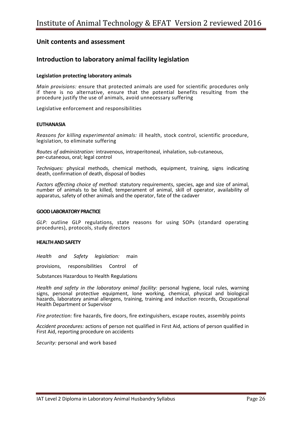### **Introduction to laboratory animal facility legislation**

#### **Legislation protecting laboratory animals**

*Main provisions:* ensure that protected animals are used for scientific procedures only if there is no alternative, ensure that the potential benefits resulting from the procedure justify the use of animals, avoid unnecessary suffering

Legislative enforcement and responsibilities

#### **EUTHANASIA**

*Reasons for killing experimental animals:* ill health, stock control, scientific procedure, legislation, to eliminate suffering

*Routes of administration:* intravenous, intraperitoneal, inhalation, sub-cutaneous, per-cutaneous, oral; legal control

*Techniques:* physical methods, chemical methods, equipment, training, signs indicating death, confirmation of death, disposal of bodies

*Factors affecting choice of method:* statutory requirements, species, age and size of animal, number of animals to be killed, temperament of animal, skill of operator, availability of apparatus, safety of other animals and the operator, fate of the cadaver

#### **GOOD LABORATORY PRACTICE**

*GLP:* outline GLP regulations, state reasons for using SOPs (standard operating procedures), protocols, study directors

#### **HEALTH AND SAFETY**

*Health and Safety legislation:* main

provisions, responsibilities Control of

Substances Hazardous to Health Regulations

*Health and safety in the laboratory animal facility:* personal hygiene, local rules, warning signs, personal protective equipment, lone working, chemical, physical and biological hazards, laboratory animal allergens, training, training and induction records, Occupational Health Department or Supervisor

*Fire protection:* fire hazards, fire doors, fire extinguishers, escape routes, assembly points

*Accident procedures:* actions of person not qualified in First Aid, actions of person qualified in First Aid, reporting procedure on accidents

*Security:* personal and work based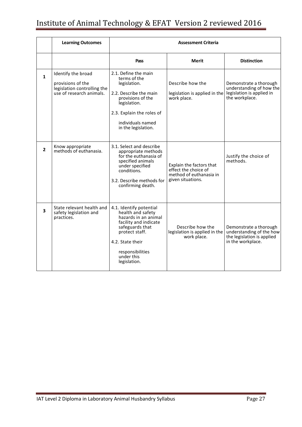|              | <b>Learning Outcomes</b>                                                                           | <b>Assessment Criteria</b>                                                                                                                                                                               |                                                                                                  |                                                                                                       |
|--------------|----------------------------------------------------------------------------------------------------|----------------------------------------------------------------------------------------------------------------------------------------------------------------------------------------------------------|--------------------------------------------------------------------------------------------------|-------------------------------------------------------------------------------------------------------|
|              |                                                                                                    | Pass                                                                                                                                                                                                     | <b>Merit</b>                                                                                     | <b>Distinction</b>                                                                                    |
| $\mathbf{1}$ | Identify the broad<br>provisions of the<br>legislation controlling the<br>use of research animals. | 2.1. Define the main<br>terms of the<br>legislation.<br>2.2. Describe the main<br>provisions of the<br>legislation.<br>2.3. Explain the roles of<br>individuals named<br>in the legislation.             | Describe how the<br>legislation is applied in the<br>work place.                                 | Demonstrate a thorough<br>understanding of how the<br>legislation is applied in<br>the workplace.     |
| $\mathbf{2}$ | Know appropriate<br>methods of euthanasia.                                                         | 3.1. Select and describe<br>appropriate methods<br>for the euthanasia of<br>specified animals<br>under specified<br>conditions.<br>3.2. Describe methods for<br>confirming death.                        | Explain the factors that<br>effect the choice of<br>method of euthanasia in<br>given situations. | Justify the choice of<br>methods.                                                                     |
| 3            | State relevant health and<br>safety legislation and<br>practices.                                  | 4.1. Identify potential<br>health and safety<br>hazards in an animal<br>facility and indicate<br>safeguards that<br>protect staff.<br>4.2. State their<br>responsibilities<br>under this<br>legislation. | Describe how the<br>legislation is applied in the<br>work place.                                 | Demonstrate a thorough<br>understanding of the how<br>the legislation is applied<br>in the workplace. |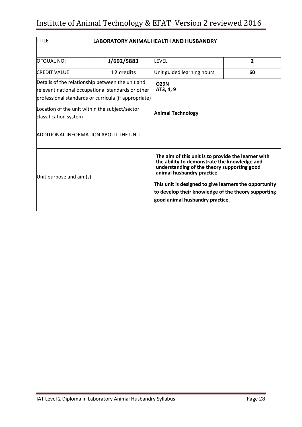| <b>TITLE</b>                                                                                                                                                  | LABORATORY ANIMAL HFALTH AND HUSBANDRY |                                                                                                                                                                                                                                                                                                                                      |                |  |
|---------------------------------------------------------------------------------------------------------------------------------------------------------------|----------------------------------------|--------------------------------------------------------------------------------------------------------------------------------------------------------------------------------------------------------------------------------------------------------------------------------------------------------------------------------------|----------------|--|
| <b>OFQUAL NO:</b>                                                                                                                                             | J/602/5883                             | <b>LEVEL</b>                                                                                                                                                                                                                                                                                                                         | $\overline{2}$ |  |
| <b>CREDIT VALUE</b>                                                                                                                                           | 12 credits                             | Unit guided learning hours                                                                                                                                                                                                                                                                                                           | 60             |  |
| Details of the relationship between the unit and<br>relevant national occupational standards or other<br>professional standards or curricula (if appropriate) |                                        | <b>O29N</b><br>AT3, 4, 9                                                                                                                                                                                                                                                                                                             |                |  |
| Location of the unit within the subject/sector<br>classification system                                                                                       |                                        | <b>Animal Technology</b>                                                                                                                                                                                                                                                                                                             |                |  |
| <b>ADDITIONAL INFORMATION ABOUT THE UNIT</b>                                                                                                                  |                                        |                                                                                                                                                                                                                                                                                                                                      |                |  |
| Unit purpose and aim(s)                                                                                                                                       |                                        | The aim of this unit is to provide the learner with<br>the ability to demonstrate the knowledge and<br>understanding of the theory supporting good<br>animal husbandry practice.<br>This unit is designed to give learners the opportunity<br>to develop their knowledge of the theory supporting<br>good animal husbandry practice. |                |  |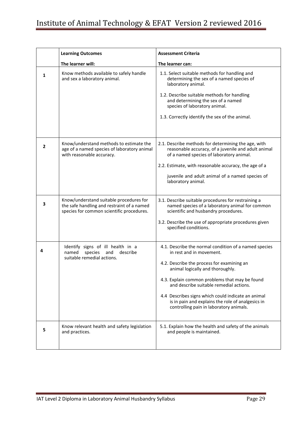|   | <b>Learning Outcomes</b>                                                                                                           | <b>Assessment Criteria</b>                                                                                                                                                                                                                                                                                                                                                                                             |
|---|------------------------------------------------------------------------------------------------------------------------------------|------------------------------------------------------------------------------------------------------------------------------------------------------------------------------------------------------------------------------------------------------------------------------------------------------------------------------------------------------------------------------------------------------------------------|
|   | The learner will:                                                                                                                  | The learner can:                                                                                                                                                                                                                                                                                                                                                                                                       |
| 1 | Know methods available to safely handle<br>and sex a laboratory animal.                                                            | 1.1. Select suitable methods for handling and<br>determining the sex of a named species of<br>laboratory animal.<br>1.2. Describe suitable methods for handling<br>and determining the sex of a named<br>species of laboratory animal.<br>1.3. Correctly identify the sex of the animal.                                                                                                                               |
| 2 | Know/understand methods to estimate the<br>age of a named species of laboratory animal<br>with reasonable accuracy.                | 2.1. Describe methods for determining the age, with<br>reasonable accuracy, of a juvenile and adult animal<br>of a named species of laboratory animal.<br>2.2. Estimate, with reasonable accuracy, the age of a<br>juvenile and adult animal of a named species of<br>laboratory animal.                                                                                                                               |
| 3 | Know/understand suitable procedures for<br>the safe handling and restraint of a named<br>species for common scientific procedures. | 3.1. Describe suitable procedures for restraining a<br>named species of a laboratory animal for common<br>scientific and husbandry procedures.<br>3.2. Describe the use of appropriate procedures given<br>specified conditions.                                                                                                                                                                                       |
| 4 | Identify signs of ill health in a<br>named<br>species<br>describe<br>and<br>suitable remedial actions.                             | 4.1. Describe the normal condition of a named species<br>in rest and in movement.<br>4.2. Describe the process for examining an<br>animal logically and thoroughly.<br>4.3. Explain common problems that may be found<br>and describe suitable remedial actions.<br>4.4 Describes signs which could indicate an animal<br>is in pain and explains the role of analgesics in<br>controlling pain in laboratory animals. |
| 5 | Know relevant health and safety legislation<br>and practices.                                                                      | 5.1. Explain how the health and safety of the animals<br>and people is maintained.                                                                                                                                                                                                                                                                                                                                     |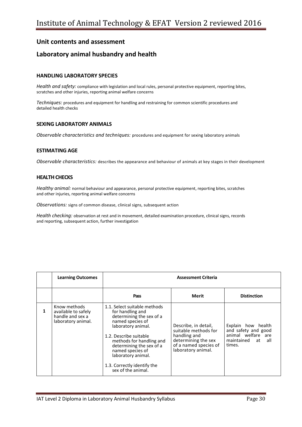### **Laboratory animal husbandry and health**

#### **HANDLING LABORATORY SPECIES**

*Health and safety:* compliance with legislation and local rules, personal protective equipment, reporting bites, scratches and other injuries, reporting animal welfare concerns

*Techniques:* procedures and equipment for handling and restraining for common scientific procedures and detailed health checks

#### **SEXING LABORATORY ANIMALS**

*Observable characteristics and techniques:* procedures and equipment for sexing laboratory animals

#### **ESTIMATING AGE**

*Observable characteristics:* describes the appearance and behaviour of animals at key stages in their development

#### **HEALTH CHECKS**

*Healthy animal:* normal behaviour and appearance, personal protective equipment, reporting bites, scratches and other injuries, reporting animal welfare concerns

*Observations:* signs of common disease, clinical signs, subsequent action

*Health checking:* observation at rest and in movement, detailed examination procedure, clinical signs, records and reporting, subsequent action, further investigation

|   | <b>Learning Outcomes</b>                                                      | <b>Assessment Criteria</b>                                                                                                                                                                                                                                                                              |                                                                                                                                    |                                                                                                   |
|---|-------------------------------------------------------------------------------|---------------------------------------------------------------------------------------------------------------------------------------------------------------------------------------------------------------------------------------------------------------------------------------------------------|------------------------------------------------------------------------------------------------------------------------------------|---------------------------------------------------------------------------------------------------|
|   |                                                                               | Pass                                                                                                                                                                                                                                                                                                    | Merit                                                                                                                              | <b>Distinction</b>                                                                                |
| 1 | Know methods<br>available to safely<br>handle and sex a<br>laboratory animal. | 1.1. Select suitable methods<br>for handling and<br>determining the sex of a<br>named species of<br>laboratory animal.<br>1.2. Describe suitable<br>methods for handling and<br>determining the sex of a<br>named species of<br>laboratory animal.<br>1.3. Correctly identify the<br>sex of the animal. | Describe, in detail,<br>suitable methods for<br>handling and<br>determining the sex<br>of a named species of<br>laboratory animal. | Explain how health<br>and safety and good<br>animal welfare are<br>maintained at<br>all<br>times. |